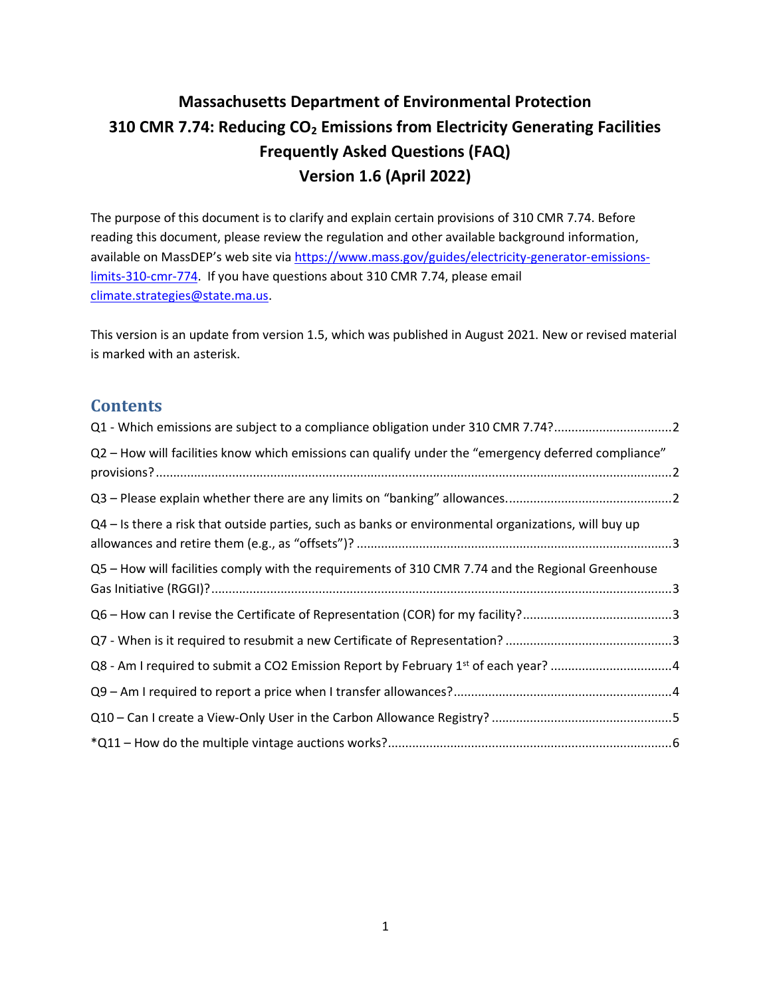# **Massachusetts Department of Environmental Protection 310 CMR 7.74: Reducing CO<sup>2</sup> Emissions from Electricity Generating Facilities Frequently Asked Questions (FAQ) Version 1.6 (April 2022)**

The purpose of this document is to clarify and explain certain provisions of 310 CMR 7.74. Before reading this document, please review the regulation and other available background information, available on MassDEP's web site via [https://www.mass.gov/guides/electricity-generator-emissions](https://www.mass.gov/guides/electricity-generator-emissions-limits-310-cmr-774)[limits-310-cmr-774.](https://www.mass.gov/guides/electricity-generator-emissions-limits-310-cmr-774) If you have questions about 310 CMR 7.74, please email [climate.strategies@state.ma.us.](mailto:climate.strategies@state.ma.us)

This version is an update from version 1.5, which was published in August 2021. New or revised material is marked with an asterisk.

#### **Contents**

| Q1 - Which emissions are subject to a compliance obligation under 310 CMR 7.74?2                     |  |
|------------------------------------------------------------------------------------------------------|--|
| Q2 - How will facilities know which emissions can qualify under the "emergency deferred compliance"  |  |
|                                                                                                      |  |
| Q4 - Is there a risk that outside parties, such as banks or environmental organizations, will buy up |  |
| Q5 - How will facilities comply with the requirements of 310 CMR 7.74 and the Regional Greenhouse    |  |
|                                                                                                      |  |
|                                                                                                      |  |
| Q8 - Am I required to submit a CO2 Emission Report by February 1 <sup>st</sup> of each year? 4       |  |
|                                                                                                      |  |
|                                                                                                      |  |
|                                                                                                      |  |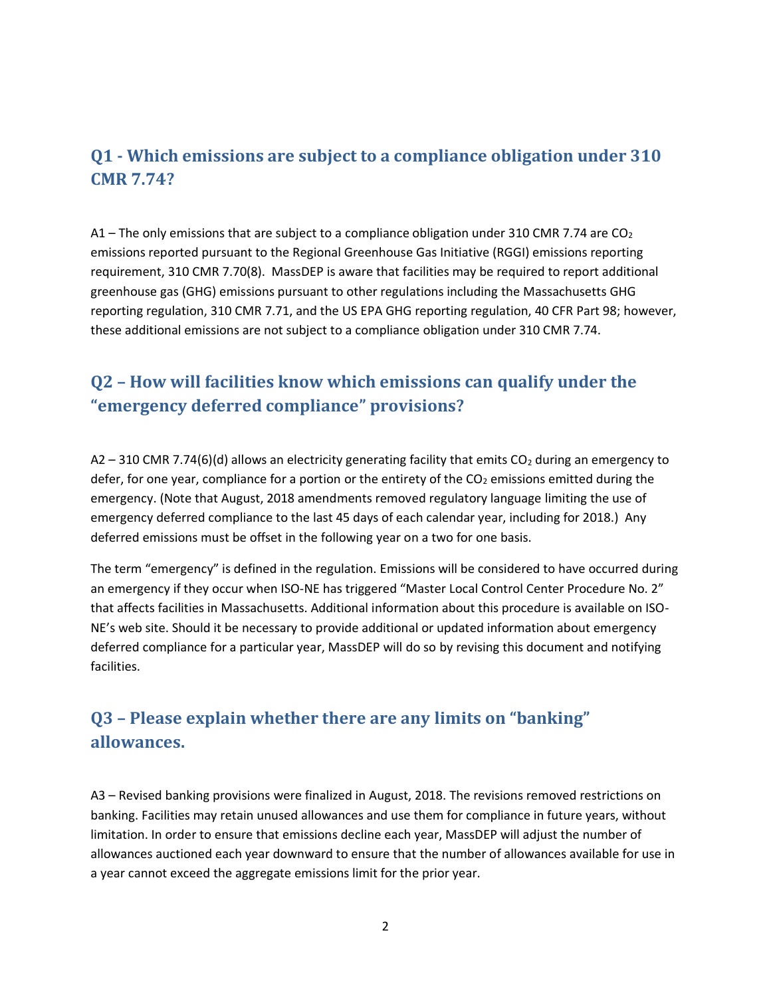### <span id="page-1-0"></span>**Q1 - Which emissions are subject to a compliance obligation under 310 CMR 7.74?**

A1 – The only emissions that are subject to a compliance obligation under 310 CMR 7.74 are  $CO<sub>2</sub>$ emissions reported pursuant to the Regional Greenhouse Gas Initiative (RGGI) emissions reporting requirement, 310 CMR 7.70(8). MassDEP is aware that facilities may be required to report additional greenhouse gas (GHG) emissions pursuant to other regulations including the Massachusetts GHG reporting regulation, 310 CMR 7.71, and the US EPA GHG reporting regulation, 40 CFR Part 98; however, these additional emissions are not subject to a compliance obligation under 310 CMR 7.74.

### <span id="page-1-1"></span>**Q2 – How will facilities know which emissions can qualify under the "emergency deferred compliance" provisions?**

A2 – 310 CMR 7.74(6)(d) allows an electricity generating facility that emits  $CO<sub>2</sub>$  during an emergency to defer, for one year, compliance for a portion or the entirety of the  $CO<sub>2</sub>$  emissions emitted during the emergency. (Note that August, 2018 amendments removed regulatory language limiting the use of emergency deferred compliance to the last 45 days of each calendar year, including for 2018.) Any deferred emissions must be offset in the following year on a two for one basis.

The term "emergency" is defined in the regulation. Emissions will be considered to have occurred during an emergency if they occur when ISO-NE has triggered "Master Local Control Center Procedure No. 2" that affects facilities in Massachusetts. Additional information about this procedure is available on ISO-NE's web site. Should it be necessary to provide additional or updated information about emergency deferred compliance for a particular year, MassDEP will do so by revising this document and notifying facilities.

# <span id="page-1-2"></span>**Q3 – Please explain whether there are any limits on "banking" allowances.**

A3 – Revised banking provisions were finalized in August, 2018. The revisions removed restrictions on banking. Facilities may retain unused allowances and use them for compliance in future years, without limitation. In order to ensure that emissions decline each year, MassDEP will adjust the number of allowances auctioned each year downward to ensure that the number of allowances available for use in a year cannot exceed the aggregate emissions limit for the prior year.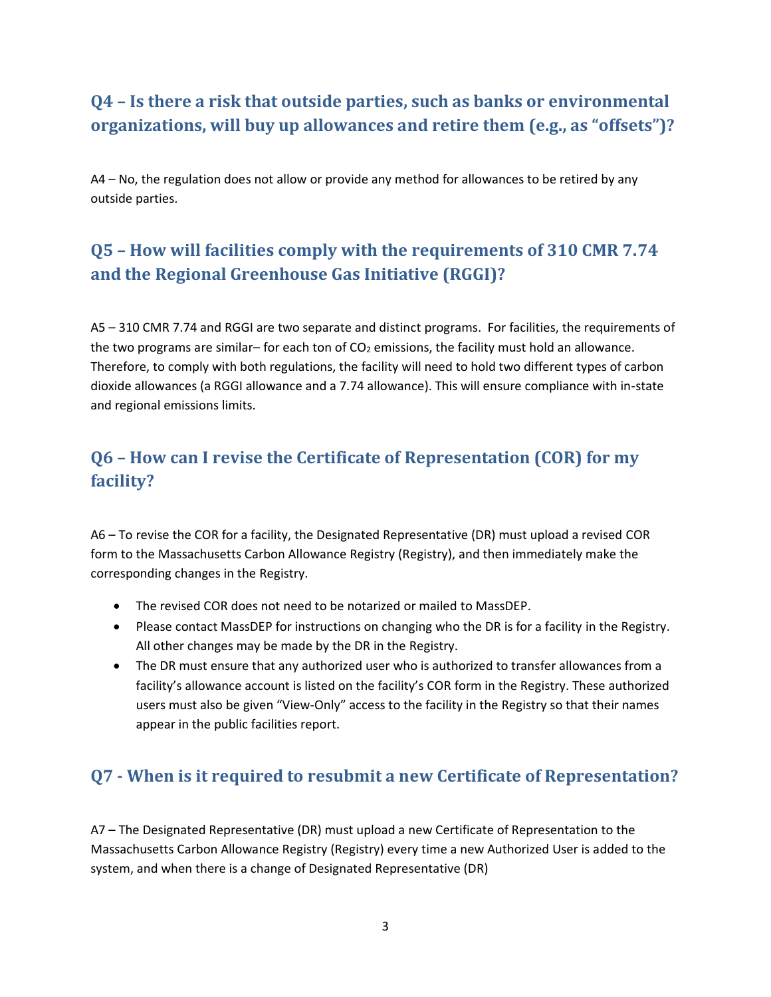# <span id="page-2-0"></span>**Q4 – Is there a risk that outside parties, such as banks or environmental organizations, will buy up allowances and retire them (e.g., as "offsets")?**

A4 – No, the regulation does not allow or provide any method for allowances to be retired by any outside parties.

# <span id="page-2-1"></span>**Q5 – How will facilities comply with the requirements of 310 CMR 7.74 and the Regional Greenhouse Gas Initiative (RGGI)?**

A5 – 310 CMR 7.74 and RGGI are two separate and distinct programs. For facilities, the requirements of the two programs are similar– for each ton of  $CO<sub>2</sub>$  emissions, the facility must hold an allowance. Therefore, to comply with both regulations, the facility will need to hold two different types of carbon dioxide allowances (a RGGI allowance and a 7.74 allowance). This will ensure compliance with in-state and regional emissions limits.

# <span id="page-2-2"></span>**Q6 – How can I revise the Certificate of Representation (COR) for my facility?**

A6 – To revise the COR for a facility, the Designated Representative (DR) must upload a revised COR form to the Massachusetts Carbon Allowance Registry (Registry), and then immediately make the corresponding changes in the Registry.

- The revised COR does not need to be notarized or mailed to MassDEP.
- Please contact MassDEP for instructions on changing who the DR is for a facility in the Registry. All other changes may be made by the DR in the Registry.
- The DR must ensure that any authorized user who is authorized to transfer allowances from a facility's allowance account is listed on the facility's COR form in the Registry. These authorized users must also be given "View-Only" access to the facility in the Registry so that their names appear in the public facilities report.

### <span id="page-2-3"></span>**Q7 - When is it required to resubmit a new Certificate of Representation?**

A7 – The Designated Representative (DR) must upload a new Certificate of Representation to the Massachusetts Carbon Allowance Registry (Registry) every time a new Authorized User is added to the system, and when there is a change of Designated Representative (DR)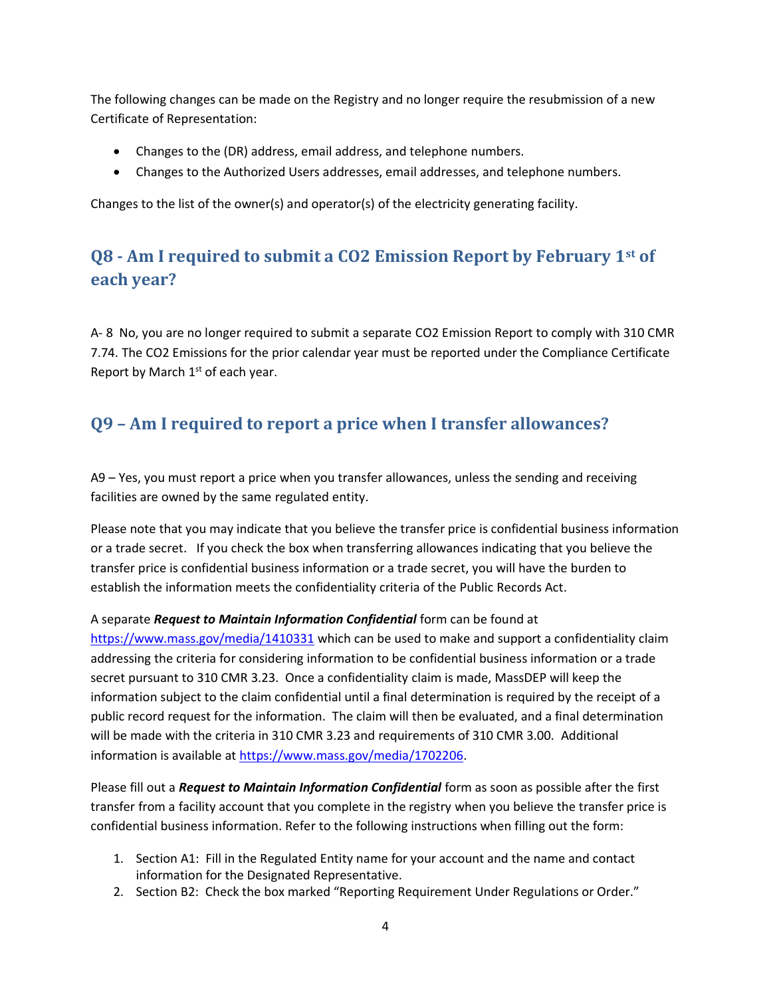The following changes can be made on the Registry and no longer require the resubmission of a new Certificate of Representation:

- Changes to the (DR) address, email address, and telephone numbers.
- Changes to the Authorized Users addresses, email addresses, and telephone numbers.

Changes to the list of the owner(s) and operator(s) of the electricity generating facility.

# <span id="page-3-0"></span>**Q8 - Am I required to submit a CO2 Emission Report by February 1st of each year?**

A- 8 No, you are no longer required to submit a separate CO2 Emission Report to comply with 310 CMR 7.74. The CO2 Emissions for the prior calendar year must be reported under the Compliance Certificate Report by March  $1<sup>st</sup>$  of each year.

#### <span id="page-3-1"></span>**Q9 – Am I required to report a price when I transfer allowances?**

A9 – Yes, you must report a price when you transfer allowances, unless the sending and receiving facilities are owned by the same regulated entity.

Please note that you may indicate that you believe the transfer price is confidential business information or a trade secret. If you check the box when transferring allowances indicating that you believe the transfer price is confidential business information or a trade secret, you will have the burden to establish the information meets the confidentiality criteria of the Public Records Act.

A separate *Request to Maintain Information Confidential* form can be found at <https://www.mass.gov/media/1410331> which can be used to make and support a confidentiality claim addressing the criteria for considering information to be confidential business information or a trade secret pursuant to 310 CMR 3.23. Once a confidentiality claim is made, MassDEP will keep the information subject to the claim confidential until a final determination is required by the receipt of a public record request for the information. The claim will then be evaluated, and a final determination will be made with the criteria in 310 CMR 3.23 and requirements of 310 CMR 3.00. Additional information is available at [https://www.mass.gov/media/1702206.](https://www.mass.gov/media/1702206)

Please fill out a *Request to Maintain Information Confidential* form as soon as possible after the first transfer from a facility account that you complete in the registry when you believe the transfer price is confidential business information. Refer to the following instructions when filling out the form:

- 1. Section A1: Fill in the Regulated Entity name for your account and the name and contact information for the Designated Representative.
- 2. Section B2: Check the box marked "Reporting Requirement Under Regulations or Order."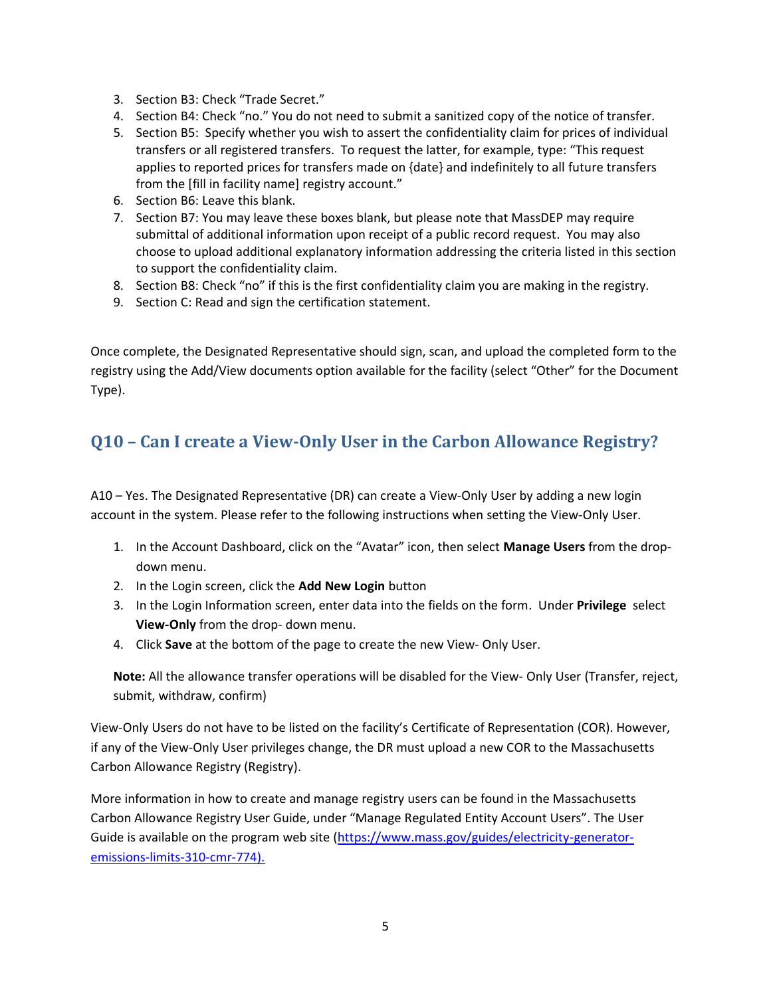- 3. Section B3: Check "Trade Secret."
- 4. Section B4: Check "no." You do not need to submit a sanitized copy of the notice of transfer.
- 5. Section B5: Specify whether you wish to assert the confidentiality claim for prices of individual transfers or all registered transfers. To request the latter, for example, type: "This request applies to reported prices for transfers made on {date} and indefinitely to all future transfers from the [fill in facility name] registry account."
- 6. Section B6: Leave this blank.
- 7. Section B7: You may leave these boxes blank, but please note that MassDEP may require submittal of additional information upon receipt of a public record request. You may also choose to upload additional explanatory information addressing the criteria listed in this section to support the confidentiality claim.
- 8. Section B8: Check "no" if this is the first confidentiality claim you are making in the registry.
- 9. Section C: Read and sign the certification statement.

Once complete, the Designated Representative should sign, scan, and upload the completed form to the registry using the Add/View documents option available for the facility (select "Other" for the Document Type).

#### <span id="page-4-0"></span>**Q10 – Can I create a View-Only User in the Carbon Allowance Registry?**

A10 – Yes. The Designated Representative (DR) can create a View-Only User by adding a new login account in the system. Please refer to the following instructions when setting the View-Only User.

- 1. In the Account Dashboard, click on the "Avatar" icon, then select **Manage Users** from the dropdown menu.
- 2. In the Login screen, click the **Add New Login** button
- 3. In the Login Information screen, enter data into the fields on the form. Under **Privilege** select **View-Only** from the drop- down menu.
- 4. Click **Save** at the bottom of the page to create the new View- Only User.

**Note:** All the allowance transfer operations will be disabled for the View- Only User (Transfer, reject, submit, withdraw, confirm)

View-Only Users do not have to be listed on the facility's Certificate of Representation (COR). However, if any of the View-Only User privileges change, the DR must upload a new COR to the Massachusetts Carbon Allowance Registry (Registry).

More information in how to create and manage registry users can be found in the Massachusetts Carbon Allowance Registry User Guide, under "Manage Regulated Entity Account Users". The User Guide is available on the program web site [\(https://www.mass.gov/guides/electricity-generator](https://www.mass.gov/guides/electricity-generator-emissions-limits-310-cmr-774)[emissions-limits-310-cmr-774\)](https://www.mass.gov/guides/electricity-generator-emissions-limits-310-cmr-774).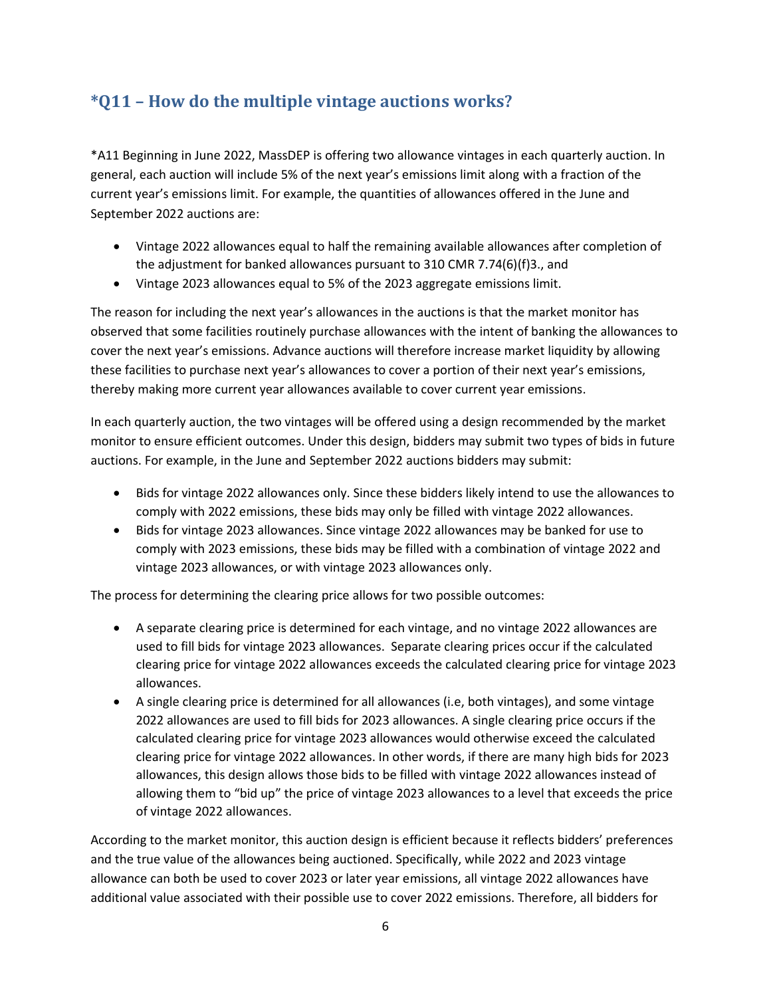## <span id="page-5-0"></span>**\*Q11 – How do the multiple vintage auctions works?**

\*A11 Beginning in June 2022, MassDEP is offering two allowance vintages in each quarterly auction. In general, each auction will include 5% of the next year's emissions limit along with a fraction of the current year's emissions limit. For example, the quantities of allowances offered in the June and September 2022 auctions are:

- Vintage 2022 allowances equal to half the remaining available allowances after completion of the adjustment for banked allowances pursuant to 310 CMR 7.74(6)(f)3., and
- Vintage 2023 allowances equal to 5% of the 2023 aggregate emissions limit.

The reason for including the next year's allowances in the auctions is that the market monitor has observed that some facilities routinely purchase allowances with the intent of banking the allowances to cover the next year's emissions. Advance auctions will therefore increase market liquidity by allowing these facilities to purchase next year's allowances to cover a portion of their next year's emissions, thereby making more current year allowances available to cover current year emissions.

In each quarterly auction, the two vintages will be offered using a design recommended by the market monitor to ensure efficient outcomes. Under this design, bidders may submit two types of bids in future auctions. For example, in the June and September 2022 auctions bidders may submit:

- Bids for vintage 2022 allowances only. Since these bidders likely intend to use the allowances to comply with 2022 emissions, these bids may only be filled with vintage 2022 allowances.
- Bids for vintage 2023 allowances. Since vintage 2022 allowances may be banked for use to comply with 2023 emissions, these bids may be filled with a combination of vintage 2022 and vintage 2023 allowances, or with vintage 2023 allowances only.

The process for determining the clearing price allows for two possible outcomes:

- A separate clearing price is determined for each vintage, and no vintage 2022 allowances are used to fill bids for vintage 2023 allowances. Separate clearing prices occur if the calculated clearing price for vintage 2022 allowances exceeds the calculated clearing price for vintage 2023 allowances.
- A single clearing price is determined for all allowances (i.e, both vintages), and some vintage 2022 allowances are used to fill bids for 2023 allowances. A single clearing price occurs if the calculated clearing price for vintage 2023 allowances would otherwise exceed the calculated clearing price for vintage 2022 allowances. In other words, if there are many high bids for 2023 allowances, this design allows those bids to be filled with vintage 2022 allowances instead of allowing them to "bid up" the price of vintage 2023 allowances to a level that exceeds the price of vintage 2022 allowances.

According to the market monitor, this auction design is efficient because it reflects bidders' preferences and the true value of the allowances being auctioned. Specifically, while 2022 and 2023 vintage allowance can both be used to cover 2023 or later year emissions, all vintage 2022 allowances have additional value associated with their possible use to cover 2022 emissions. Therefore, all bidders for